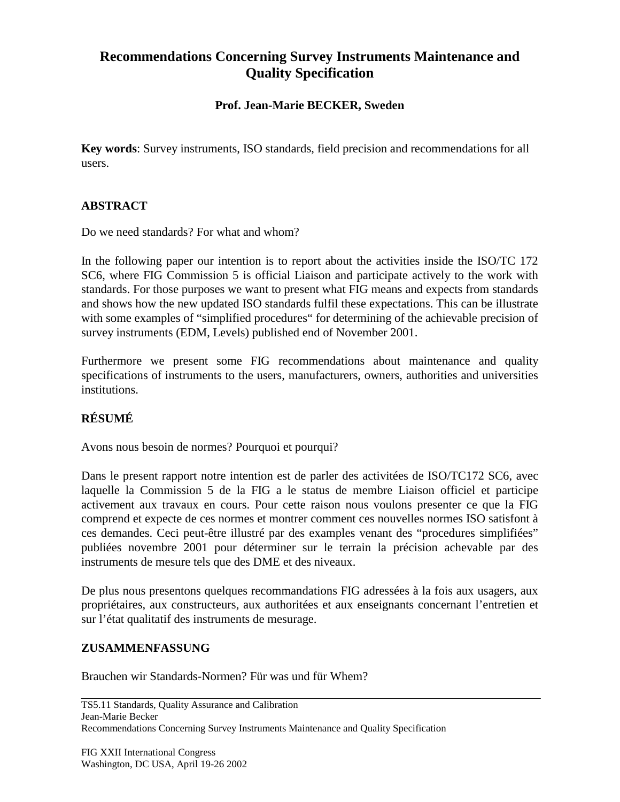# **Recommendations Concerning Survey Instruments Maintenance and Quality Specification**

### **Prof. Jean-Marie BECKER, Sweden**

**Key words**: Survey instruments, ISO standards, field precision and recommendations for all users.

## **ABSTRACT**

Do we need standards? For what and whom?

In the following paper our intention is to report about the activities inside the ISO/TC 172 SC6, where FIG Commission 5 is official Liaison and participate actively to the work with standards. For those purposes we want to present what FIG means and expects from standards and shows how the new updated ISO standards fulfil these expectations. This can be illustrate with some examples of "simplified procedures" for determining of the achievable precision of survey instruments (EDM, Levels) published end of November 2001.

Furthermore we present some FIG recommendations about maintenance and quality specifications of instruments to the users, manufacturers, owners, authorities and universities institutions.

# **RÉSUMÉ**

Avons nous besoin de normes? Pourquoi et pourqui?

Dans le present rapport notre intention est de parler des activitées de ISO/TC172 SC6, avec laquelle la Commission 5 de la FIG a le status de membre Liaison officiel et participe activement aux travaux en cours. Pour cette raison nous voulons presenter ce que la FIG comprend et expecte de ces normes et montrer comment ces nouvelles normes ISO satisfont à ces demandes. Ceci peut-être illustré par des examples venant des "procedures simplifiées" publiées novembre 2001 pour déterminer sur le terrain la précision achevable par des instruments de mesure tels que des DME et des niveaux.

De plus nous presentons quelques recommandations FIG adressées à la fois aux usagers, aux propriétaires, aux constructeurs, aux authoritées et aux enseignants concernant l'entretien et sur l'état qualitatif des instruments de mesurage.

#### **ZUSAMMENFASSUNG**

Brauchen wir Standards-Normen? Für was und für Whem?